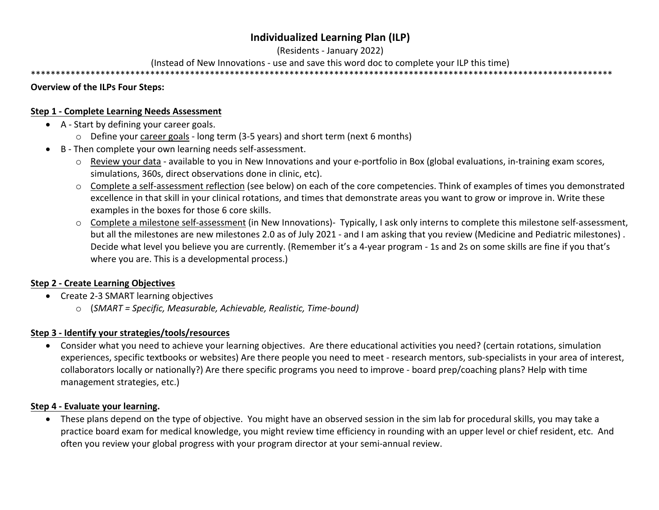## **Individualized Learning Plan (ILP)**

(Residents - January 2022)

(Instead of New Innovations - use and save this word doc to complete your ILP this time)

\*\*\*\*\*\*\*\*\*\*\*\*\*\*\*\*\*\*\*\*\*\*\*\*\*\*\*\*\*\*\*\*\*\*\*\*\*\*\*\*\*\*\*\*\*\*\*\*\*\*\*\*\*\*\*\*\*\*\*\*\*\*\*\*\*\*\*\*\*\*\*\*\*\*\*\*\*\*\*\*\*\*\*\*\*\*\*\*\*\*\*\*\*\*\*\*\*\*\*\*\*\*\*\*\*\*\*\*\*\*\*\*\*\*\*\*\*

#### **Overview of the ILPs Four Steps:**

#### **Step 1 - Complete Learning Needs Assessment**

- A Start by defining your career goals.
	- o Define your career goals long term (3-5 years) and short term (next 6 months)
- B Then complete your own learning needs self-assessment.
	- o Review your data available to you in New Innovations and your e-portfolio in Box (global evaluations, in-training exam scores, simulations, 360s, direct observations done in clinic, etc).
	- o Complete a self-assessment reflection (see below) on each of the core competencies. Think of examples of times you demonstrated excellence in that skill in your clinical rotations, and times that demonstrate areas you want to grow or improve in. Write these examples in the boxes for those 6 core skills.
	- o Complete a milestone self-assessment (in New Innovations)- Typically, I ask only interns to complete this milestone self-assessment, but all the milestones are new milestones 2.0 as of July 2021 - and I am asking that you review (Medicine and Pediatric milestones) . Decide what level you believe you are currently. (Remember it's a 4-year program - 1s and 2s on some skills are fine if you that's where you are. This is a developmental process.)

### **Step 2 - Create Learning Objectives**

- Create 2-3 SMART learning objectives
	- o (*SMART = Specific, Measurable, Achievable, Realistic, Time-bound)*

### **Step 3 - Identify your strategies/tools/resources**

• Consider what you need to achieve your learning objectives. Are there educational activities you need? (certain rotations, simulation experiences, specific textbooks or websites) Are there people you need to meet - research mentors, sub-specialists in your area of interest, collaborators locally or nationally?) Are there specific programs you need to improve - board prep/coaching plans? Help with time management strategies, etc.)

### **Step 4 - Evaluate your learning.**

• These plans depend on the type of objective. You might have an observed session in the sim lab for procedural skills, you may take a practice board exam for medical knowledge, you might review time efficiency in rounding with an upper level or chief resident, etc. And often you review your global progress with your program director at your semi-annual review.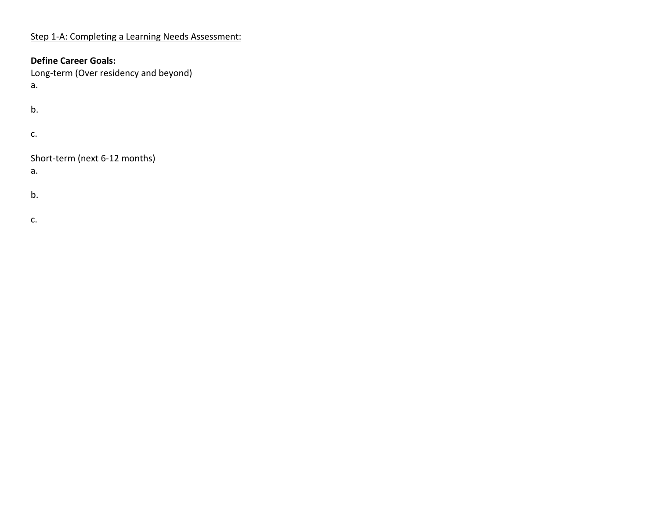## Step 1-A: Completing a Learning Needs Assessment:

## **Define Career Goals:**

Long-term (Over residency and beyond)

a.

b.

c.

Short-term (next 6-12 months)

a.

b.

c.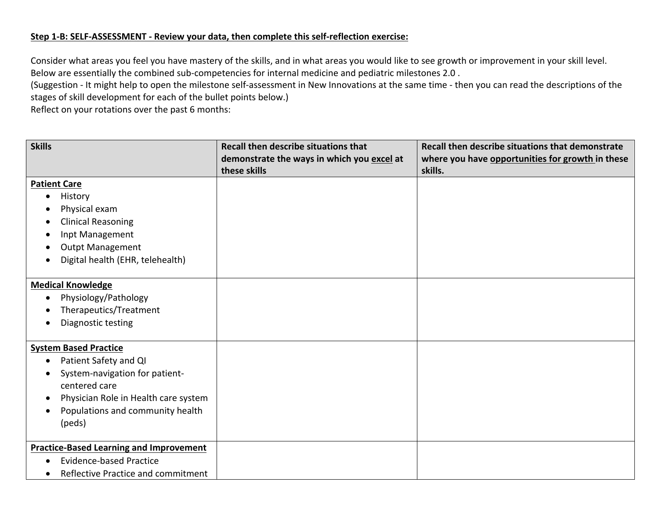#### **Step 1-B: SELF-ASSESSMENT - Review your data, then complete this self-reflection exercise:**

Consider what areas you feel you have mastery of the skills, and in what areas you would like to see growth or improvement in your skill level. Below are essentially the combined sub-competencies for internal medicine and pediatric milestones 2.0 .

(Suggestion - It might help to open the milestone self-assessment in New Innovations at the same time - then you can read the descriptions of the stages of skill development for each of the bullet points below.)

Reflect on your rotations over the past 6 months:

| <b>Skills</b>                                  | <b>Recall then describe situations that</b>                | Recall then describe situations that demonstrate            |
|------------------------------------------------|------------------------------------------------------------|-------------------------------------------------------------|
|                                                | demonstrate the ways in which you excel at<br>these skills | where you have opportunities for growth in these<br>skills. |
| <b>Patient Care</b>                            |                                                            |                                                             |
| History<br>c                                   |                                                            |                                                             |
| Physical exam                                  |                                                            |                                                             |
| <b>Clinical Reasoning</b>                      |                                                            |                                                             |
| Inpt Management                                |                                                            |                                                             |
| Outpt Management                               |                                                            |                                                             |
| Digital health (EHR, telehealth)               |                                                            |                                                             |
| <b>Medical Knowledge</b>                       |                                                            |                                                             |
| Physiology/Pathology<br>$\bullet$              |                                                            |                                                             |
| Therapeutics/Treatment                         |                                                            |                                                             |
| Diagnostic testing                             |                                                            |                                                             |
| <b>System Based Practice</b>                   |                                                            |                                                             |
| Patient Safety and QI<br>о                     |                                                            |                                                             |
| System-navigation for patient-                 |                                                            |                                                             |
| centered care                                  |                                                            |                                                             |
| Physician Role in Health care system           |                                                            |                                                             |
| Populations and community health               |                                                            |                                                             |
| (peds)                                         |                                                            |                                                             |
| <b>Practice-Based Learning and Improvement</b> |                                                            |                                                             |
| <b>Evidence-based Practice</b>                 |                                                            |                                                             |
| Reflective Practice and commitment             |                                                            |                                                             |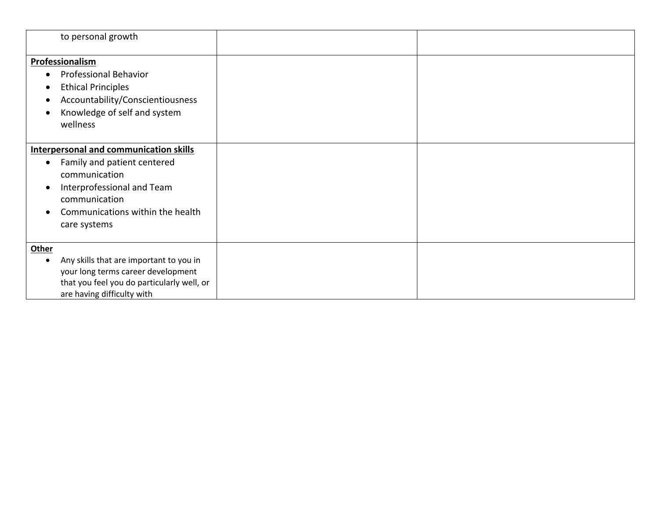| to personal growth                                                                                                                                                                                                 |  |
|--------------------------------------------------------------------------------------------------------------------------------------------------------------------------------------------------------------------|--|
| Professionalism<br><b>Professional Behavior</b><br><b>Ethical Principles</b><br>Accountability/Conscientiousness<br>Knowledge of self and system<br>wellness                                                       |  |
| <b>Interpersonal and communication skills</b><br>Family and patient centered<br>$\bullet$<br>communication<br>Interprofessional and Team<br>-<br>communication<br>Communications within the health<br>care systems |  |
| <b>Other</b><br>Any skills that are important to you in<br>your long terms career development<br>that you feel you do particularly well, or<br>are having difficulty with                                          |  |